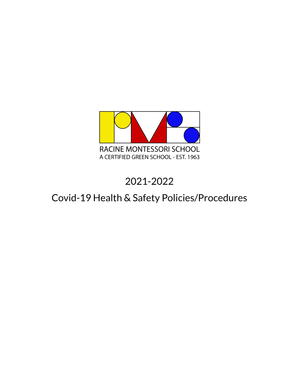

# 2021-2022

# Covid-19 Health & Safety Policies/Procedures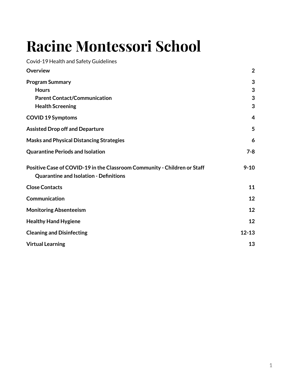# **Racine Montessori School**

Covid-19 Health and Safety Guidelines

<span id="page-1-0"></span>

| <b>Overview</b>                                                                                                           | $\overline{2}$ |
|---------------------------------------------------------------------------------------------------------------------------|----------------|
| <b>Program Summary</b>                                                                                                    | 3              |
| <b>Hours</b>                                                                                                              | 3              |
| <b>Parent Contact/Communication</b>                                                                                       | 3              |
| <b>Health Screening</b>                                                                                                   | 3              |
| <b>COVID 19 Symptoms</b>                                                                                                  | 4              |
| <b>Assisted Drop off and Departure</b>                                                                                    | 5              |
| <b>Masks and Physical Distancing Strategies</b>                                                                           | 6              |
| <b>Quarantine Periods and Isolation</b>                                                                                   | $7 - 8$        |
| Positive Case of COVID-19 in the Classroom Community - Children or Staff<br><b>Quarantine and Isolation - Definitions</b> | $9 - 10$       |
| <b>Close Contacts</b>                                                                                                     | 11             |
| Communication                                                                                                             | 12             |
| <b>Monitoring Absenteeism</b>                                                                                             | 12             |
| <b>Healthy Hand Hygiene</b>                                                                                               | 12             |
| <b>Cleaning and Disinfecting</b>                                                                                          | $12 - 13$      |
| <b>Virtual Learning</b>                                                                                                   | 13             |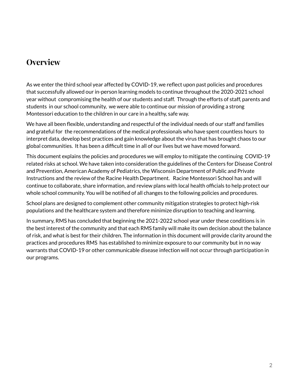# **Overview**

As we enter the third school year affected by COVID-19, we reflect upon past policies and procedures that successfully allowed our in-person learning models to continue throughout the 2020-2021 school year without compromising the health of our students and staff. Through the efforts of staff, parents and students in our school community, we were able to continue our mission of providing a strong Montessori education to the children in our care in a healthy, safe way.

We have all been flexible, understanding and respectful of the individual needs of our staff and families and grateful for the recommendations of the medical professionals who have spent countless hours to interpret data, develop best practices and gain knowledge about the virus that has brought chaos to our global communities. It has been a difficult time in all of our lives but we have moved forward.

This document explains the policies and procedures we will employ to mitigate the continuing COVID-19 related risks at school. We have taken into consideration the guidelines of the Centers for Disease Control and Prevention, American Academy of Pediatrics, the Wisconsin Department of Public and Private Instructions and the review of the Racine Health Department. Racine Montessori School has and will continue to collaborate, share information, and review plans with local health officials to help protect our whole school community. You will be notified of all changes to the following policies and procedures.

School plans are designed to complement other community mitigation strategies to protect high-risk populations and the healthcare system and therefore minimize disruption to teaching and learning.

In summary, RMS has concluded that beginning the 2021-2022 school year under these conditions is in the best interest of the community and that each RMS family will make its own decision about the balance of risk, and what is best for their children. The information in this document will provide clarity around the practices and procedures RMS has established to minimize exposure to our community but in no way warrants that COVID-19 or other communicable disease infection will not occur through participation in our programs.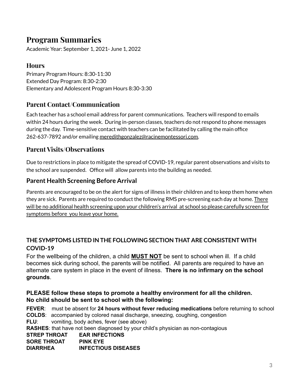# <span id="page-3-0"></span>**Program Summaries**

<span id="page-3-1"></span>Academic Year: September 1, 2021- June 1, 2022

### **Hours**

Primary Program Hours: 8:30-11:30 Extended Day Program: 8:30-2:30 Elementary and Adolescent Program Hours 8:30-3:30

### <span id="page-3-2"></span>**Parent Contact/Communication**

Each teacher has a school email address for parent communications. Teachers will respond to emails within 24 hours during the week. During in-person classes, teachers do not respond to phone messages during the day. Time-sensitive contact with teachers can be facilitated by calling the main office 262-637-7892 and/or emailing [meredithgonzalez@racinemontessori.com.](mailto:meredithgonzalez@racinemontessori.com)

### **Parent Visits/Observations**

Due to restrictions in place to mitigate the spread of COVID-19, regular parent observations and visits to the school are suspended. Office will allow parents into the building as needed.

### **Parent Health Screening Before Arrival**

Parents are encouraged to be on the alert for signs of illness in their children and to keep them home when they are sick. Parents are required to conduct the following RMS pre-screening each day at home. There will be no additional health screening upon your children's arrival at school so please carefully screen for symptoms before you leave your home.

### **THE SYMPTOMS LISTED IN THE FOLLOWING SECTION THAT ARE CONSISTENT WITH COVID-19**

For the wellbeing of the children, a child **MUST NOT** be sent to school when ill. If a child becomes sick during school, the parents will be notified. All parents are required to have an alternate care system in place in the event of illness. **There is no infirmary on the school grounds**.

### **PLEASE follow these steps to promote a healthy environment for all the children. No child should be sent to school with the following:**

**FEVER**: must be absent for **24 hours without fever reducing medications** before returning to school **COLDS**: accompanied by colored nasal discharge, sneezing, coughing, congestion **FLU:** vomiting, body aches, fever (see above) **RASHES**: that have not been diagnosed by your child's physician as non-contagious **STREP THROAT EAR INFECTIONS SORE THROAT PINK EYE DIARRHEA INFECTIOUS DISEASES**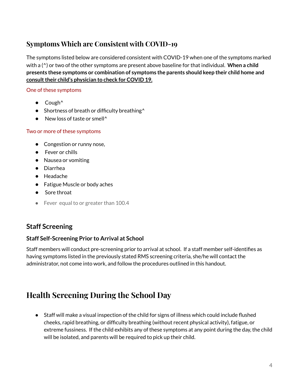# **Symptoms Which are Consistent with COVID-19**

The symptoms listed below are considered consistent with COVID-19 when one of the symptoms marked with a (^) or two of the other symptoms are present above baseline for that individual. **When a child presents these symptoms or combination of symptoms the parents should keep their child home and consulttheir child's physician to check for COVID 19.**

#### One of these symptoms

- **●** Cough^
- **●** Shortness of breath or difficulty breathing^
- **●** New loss of taste or smell^

#### Two or more of these symptoms

- **●** Congestion or runny nose,
- **●** Fever or chills
- **●** Nausea or vomiting
- **●** Diarrhea
- **●** Headache
- **●** Fatigue Muscle or body aches
- **●** Sore throat
- Fever equal to or greater than 100.4

### **Staff Screening**

#### **Staff Self-Screening Prior to Arrival at School**

Staff members will conduct pre-screening prior to arrival at school. If a staff member self-identifies as having symptoms listed in the previously stated RMS screening criteria, she/he will contact the administrator, not come into work, and follow the procedures outlined in this handout.

# **Health Screening During the School Day**

● Staff will make a visual inspection of the child for signs of illness which could include flushed cheeks, rapid breathing, or difficulty breathing (without recent physical activity), fatigue, or extreme fussiness. If the child exhibits any of these symptoms at any point during the day, the child will be isolated, and parents will be required to pick up their child.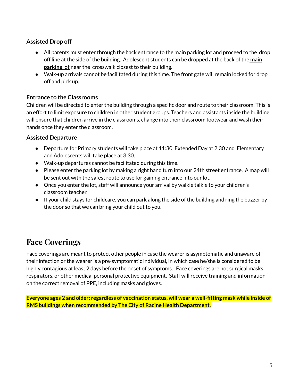### **Assisted Drop off**

- All parents must enter through the back entrance to the main parking lot and proceed to the drop off line at the side of the building. Adolescent students can be dropped at the back of the **main parking** lot near the crosswalk closest to their building.
- Walk-up arrivals cannot be facilitated during this time. The front gate will remain locked for drop off and pick up.

#### **Entrance to the Classrooms**

Children will be directed to enter the building through a specific door and route to their classroom. This is an effort to limit exposure to children in other student groups. Teachers and assistants inside the building will ensure that children arrive in the classrooms, change into their classroom footwear and wash their hands once they enter the classroom.

#### **Assisted Departure**

- Departure for Primary students will take place at 11:30, Extended Day at 2:30 and Elementary and Adolescents will take place at 3:30.
- Walk-up departures cannot be facilitated during this time.
- Please enter the parking lot by making a right hand turn into our 24th street entrance. A map will be sent out with the safest route to use for gaining entrance into our lot.
- Once you enter the lot, staff will announce your arrival by walkie talkie to your children's classroom teacher.
- If your child stays for childcare, you can park along the side of the building and ring the buzzer by the door so that we can bring your child out to you.

# **Face Coverings**

Face coverings are meant to protect other people in case the wearer is asymptomatic and unaware of their infection or the wearer is a pre-symptomatic individual, in which case he/she is considered to be highly contagious at least 2 days before the onset of symptoms. Face coverings are not surgical masks, respirators, or other medical personal protective equipment. Staff will receive training and information on the correct removal of PPE, including masks and gloves.

<span id="page-5-0"></span>Everyone ages 2 and older; regardless of vaccination status, will wear a well-fitting mask while inside of **RMS buildings when recommended by The City of Racine Health Department.**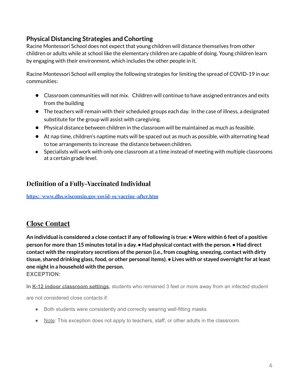### **Physical Distancing Strategies and Cohorting**

Racine Montessori School does not expect that young children will distance themselves from other children or adults while at school like the elementary children are capable of doing. Young children learn by engaging with their environment, which includes the other people in it.

Racine Montessori School will employ the following strategies for limiting the spread of COVID-19 in our communities:

- Classroom communities will not mix. Children will continue to have assigned entrances and exits from the building
- The teachers will remain with their scheduled groups each day. In the case of illness, a designated substitute for the group will assist with caregiving.
- Physical distance between children in the classroom will be maintained as much as feasible.
- At nap time, children's naptime mats will be spaced out as much as possible, with alternating head to toe arrangements to increase the distance between children.
- Specialists will work with only one classroom at a time instead of meeting with multiple classrooms at a certain grade level.

### **Definition of a Fully-Vaccinated Individual**

**<https://www.dhs.wisconsin.gov/covid-19/vaccine-after.htm>**

### **Close Contact**

An individual is considered a close contact if any of following is true: • Were within 6 feet of a positive person for more than 15 minutes total in a day. • Had physical contact with the person. • Had direct **contact with the respiratory secretions ofthe person (i.e., from coughing, sneezing, contact with dirty tissue, shared drinking glass, food, or other personal items). • Lives with or stayed overnightfor atleast one night** in a household with the person. **EXCEPTION:**

**In K-12 indoor classroom settings,** students who remained 3 feet or more away from an infected student

are not considered close contacts if:

- Both students were consistently and correctly wearing well-fitting masks
- Note: This exception does not apply to teachers, staff, or other adults in the classroom.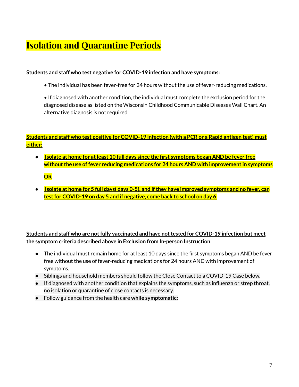# **Isolation and Quarantine Periods**

#### **Students and staff who test negative for COVID-19 infection and have symptoms:**

• The individual has been fever-free for 24 hours without the use of fever-reducing medications.

• If diagnosed with another condition, the individual must complete the exclusion period for the diagnosed disease as listed on the Wisconsin Childhood Communicable Diseases Wall Chart. An alternative diagnosis is not required.

### Students and staff who test positive for COVID-19 infection (with a PCR or a Rapid antigen test) must **either:**

● **Isolate at home for atleast 10 full days since the first symptoms began AND be fever free without the use of fever reducing medications for 24 hours AND with improvement in symptoms** 

**OR**

● **Isolate at home for 5 full days( days 0-5), and ifthey have improved symptoms and no fever, can testfor COVID-19 on day 5 and if negative, come back to school on day 6.**

**Students and staff who are notfully vaccinated and have nottested for COVID-19 infection but meet the symptom criteria described above in Exclusion from In-person Instruction**:

- **●** The individual must remain home for at least 10 days since the first symptoms began AND be fever free without the use of fever-reducing medications for 24 hours AND with improvement of symptoms.
- **●** Siblings and household members should follow the Close Contact to a COVID-19 Case below.
- **●** If diagnosed with another condition that explains the symptoms, such as influenza or strep throat, no isolation or quarantine of close contacts is necessary.
- **●** Follow guidance from the health care **while symptomatic:**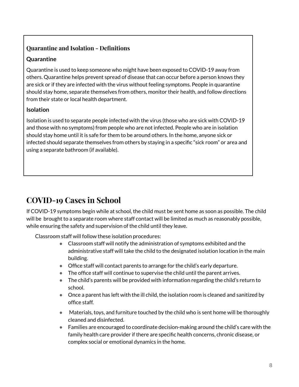### **Quarantine and Isolation - Definitions**

### **Quarantine**

Quarantine is used to keep someone who might have been exposed to COVID-19 away from others. Quarantine helps prevent spread of disease that can occur before a person knows they are sick or if they are infected with the virus without feeling symptoms. People in quarantine should stay home, separate themselves from others, monitor their health, and follow directions from their state or local health department.

### **Isolation**

Isolation is used to separate people infected with the virus (those who are sick with COVID-19 and those with no symptoms) from people who are not infected. People who are in isolation should stay home until it is safe for them to be around others. In the home, anyone sick or infected should separate themselves from others by staying in a specific "sick room" or area and using a separate bathroom (if available).

# **COVID-19 Cases in School**

If COVID-19 symptoms begin while at school, the child must be sent home as soon as possible. The child will be brought to a separate room where staff contact will be limited as much as reasonably possible, while ensuring the safety and supervision of the child until they leave.

Classroom staff will follow these isolation procedures:

- Classroom staff will notify the administration of symptoms exhibited and the administrative staff will take the child to the designated isolation location in the main building.
- Office staff will contact parents to arrange for the child's early departure.
- The office staff will continue to supervise the child until the parent arrives.
- The child's parents will be provided with information regarding the child's return to school.
- Once a parent has left with the ill child, the isolation room is cleaned and sanitized by office staff.
- Materials, toys, and furniture touched by the child who is sent home will be thoroughly cleaned and disinfected.
- $\bullet$  Families are encouraged to coordinate decision-making around the child's care with the family health care provider if there are specific health concerns, chronic disease, or complex social or emotional dynamics in the home.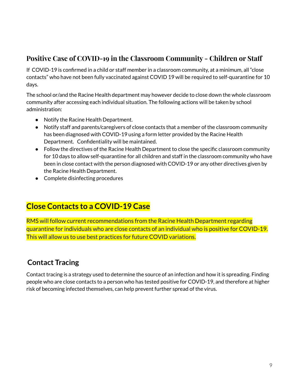# **Positive Case of COVID-19 in the Classroom Community - Children or Staff**

If COVID-19 is confirmed in a child or staff member in a classroom community, at a minimum, all "close contacts" who have not been fully vaccinated against COVID 19 will be required to self-quarantine for 10 days.

The school or/and the Racine Health department may however decide to close down the whole classroom community after accessing each individual situation. The following actions will be taken by school administration:

- Notify the Racine Health Department.
- Notify staff and parents/caregivers of close contacts that a member of the classroom community has been diagnosed with COVID-19 using a form letter provided by the Racine Health Department. Confidentiality will be maintained.
- Follow the directives of the Racine Health Department to close the specific classroom community for 10 days to allow self-quarantine for all children and staff in the classroom community who have been in close contact with the person diagnosed with COVID-19 or any other directives given by the Racine Health Department.
- Complete disinfecting procedures

# **Close Contacts to a COVID-19 Case**

RMS will follow current recommendations from the Racine Health Department regarding quarantine for individuals who are close contacts of an individual who is positive for COVID-19. This will allow us to use best practices for future COVID variations.

# **Contact Tracing**

Contact tracing is a strategy used to determine the source of an infection and how it is spreading. Finding people who are close contacts to a person who has tested positive for COVID-19, and therefore at higher risk of becoming infected themselves, can help prevent further spread of the virus.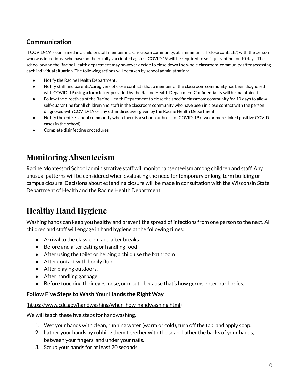## **Communication**

If COVID-19 is confirmed in a child or staff member in a classroom community, at a minimum all "close contacts", with the person who was infectious, who have not been fully vaccinated against COVID 19 will be required to self-quarantine for 10 days. The school or/and the Racine Health department may however decide to close down the whole classroom community after accessing each individual situation. The following actions will be taken by school administration:

- Notify the Racine Health Department.
- Notify staff and parents/caregivers of close contacts that a member of the classroom community has been diagnosed with COVID-19 using a form letter provided by the Racine Health Department Confidentiality will be maintained.
- Follow the directives of the Racine Health Department to close the specific classroom community for 10 days to allow self-quarantine for all children and staff in the classroom community who have been in close contact with the person diagnosed with COVID-19 or any other directives given by the Racine Health Department.
- Notify the entire school community when there is a school outbreak of COVID-19 (two or more linked positive COVID cases in the school).
- Complete disinfecting procedures

# **Monitoring Absenteeism**

Racine Montessori School administrative staff will monitor absenteeism among children and staff. Any unusual patterns will be considered when evaluating the need for temporary or long-term building or campus closure. Decisions about extending closure will be made in consultation with the Wisconsin State Department of Health and the Racine Health Department.

# **Healthy Hand Hygiene**

Washing hands can keep you healthy and prevent the spread of infections from one person to the next. All children and staff will engage in hand hygiene at the following times:

- Arrival to the classroom and after breaks
- Before and after eating or handling food
- After using the toilet or helping a child use the bathroom
- After contact with bodily fluid
- After playing outdoors.
- After handling garbage
- Before touching their eyes, nose, or mouth because that's how germs enter our bodies.

#### **Follow Five Steps to Wash Your Hands the Right Way**

#### [\(https://www.cdc.gov/handwashing/when-how-handwashing.html](https://www.cdc.gov/handwashing/when-how-handwashing.html))

We will teach these five steps for handwashing.

- 1. Wet your hands with clean, running water (warm or cold), turn off the tap, and apply soap.
- 2. Lather your hands by rubbing them together with the soap. Lather the backs of your hands, between your fingers, and under your nails.
- 3. Scrub your hands for at least 20 seconds.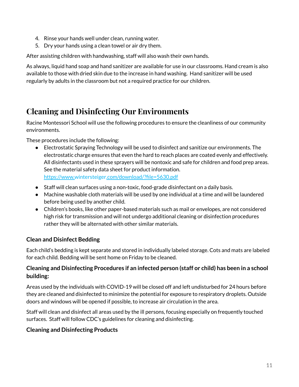- 4. Rinse your hands well under clean, running water.
- 5. Dry your hands using a clean towel or air dry them.

After assisting children with handwashing, staff will also wash their own hands.

As always, liquid hand soap and hand sanitizer are available for use in our classrooms. Hand cream is also available to those with dried skin due to the increase in hand washing. Hand sanitizer will be used regularly by adults in the classroom but not a required practice for our children.

# <span id="page-11-0"></span>**Cleaning and Disinfecting Our Environments**

Racine Montessori School will use the following procedures to ensure the cleanliness of our community environments.

These procedures include the following:

- Electrostatic Spraying Technology will be used to disinfect and sanitize our environments. The electrostatic charge ensures that even the hard to reach places are coated evenly and effectively. All disinfectants used in these sprayers will be nontoxic and safe for children and food prep areas. See the material safety data sheet for product information. <https://www.wintersteiger.com/download/?file=5630.pdf>
- Staff will clean surfaces using a non-toxic, food-grade disinfectant on a daily basis.
- Machine washable cloth materials will be used by one individual at a time and will be laundered before being used by another child.
- Children's books, like other paper-based materials such as mail or envelopes, are not considered high risk for transmission and will not undergo additional cleaning or disinfection procedures rather they will be alternated with other similar materials.

### **Clean and Disinfect Bedding**

Each child's bedding is kept separate and stored in individually labeled storage. Cots and mats are labeled for each child. Bedding will be sent home on Friday to be cleaned.

### **Cleaning and Disinfecting Procedures if an infected person (staff or child) has been in a school building:**

Areas used by the individuals with COVID-19 will be closed off and left undisturbed for 24 hours before they are cleaned and disinfected to minimize the potential for exposure to respiratory droplets. Outside doors and windows will be opened if possible, to increase air circulation in the area.

Staff will clean and disinfect all areas used by the ill persons, focusing especially on frequently touched surfaces. Staff will follow CDC's guidelines for cleaning and [disinfecting.](https://www.cdc.gov/coronavirus/2019-ncov/community/organizations/cleaning-disinfection.html)

#### **Cleaning and Disinfecting Products**